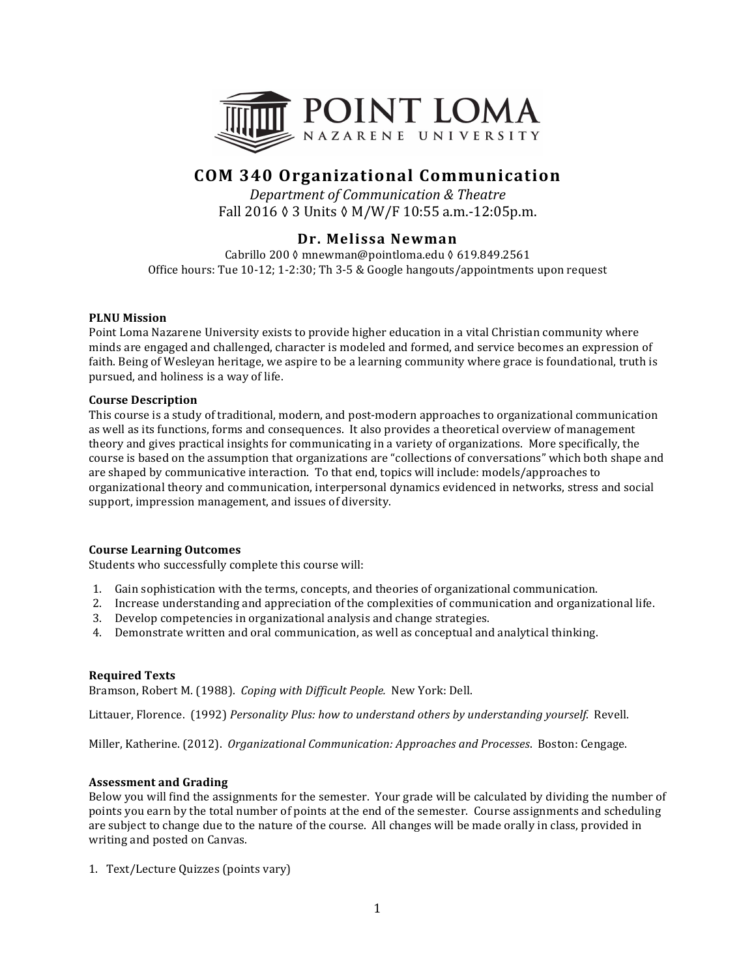

# **COM 340 Organizational Communication**

*Department of Communication & Theatre* Fall 2016 ♦ 3 Units ♦ M/W/F 10:55 a.m.-12:05p.m.

## **Dr. Melissa Newman**

Cabrillo 200 ◊ mnewman@pointloma.edu ◊ 619.849.2561 Office hours: Tue  $10-12$ ;  $1-2:30$ ; Th  $3-5$  & Google hangouts/appointments upon request

## **PLNU** Mission

Point Loma Nazarene University exists to provide higher education in a vital Christian community where minds are engaged and challenged, character is modeled and formed, and service becomes an expression of faith. Being of Wesleyan heritage, we aspire to be a learning community where grace is foundational, truth is pursued, and holiness is a way of life.

## **Course Description**

This course is a study of traditional, modern, and post-modern approaches to organizational communication as well as its functions, forms and consequences. It also provides a theoretical overview of management theory and gives practical insights for communicating in a variety of organizations. More specifically, the course is based on the assumption that organizations are "collections of conversations" which both shape and are shaped by communicative interaction. To that end, topics will include: models/approaches to organizational theory and communication, interpersonal dynamics evidenced in networks, stress and social support, impression management, and issues of diversity.

## **Course Learning Outcomes**

Students who successfully complete this course will:

- 1. Gain sophistication with the terms, concepts, and theories of organizational communication.
- 2. Increase understanding and appreciation of the complexities of communication and organizational life.
- 3. Develop competencies in organizational analysis and change strategies.
- 4. Demonstrate written and oral communication, as well as conceptual and analytical thinking.

## **Required Texts**

Bramson, Robert M. (1988). *Coping with Difficult People.* New York: Dell.

Littauer, Florence. (1992) *Personality Plus: how to understand others by understanding yourself.* Revell.

Miller, Katherine. (2012). *Organizational Communication: Approaches and Processes*. Boston: Cengage.

## **Assessment and Grading**

Below you will find the assignments for the semester. Your grade will be calculated by dividing the number of points you earn by the total number of points at the end of the semester. Course assignments and scheduling are subject to change due to the nature of the course. All changes will be made orally in class, provided in writing and posted on Canvas.

1. Text/Lecture Quizzes (points vary)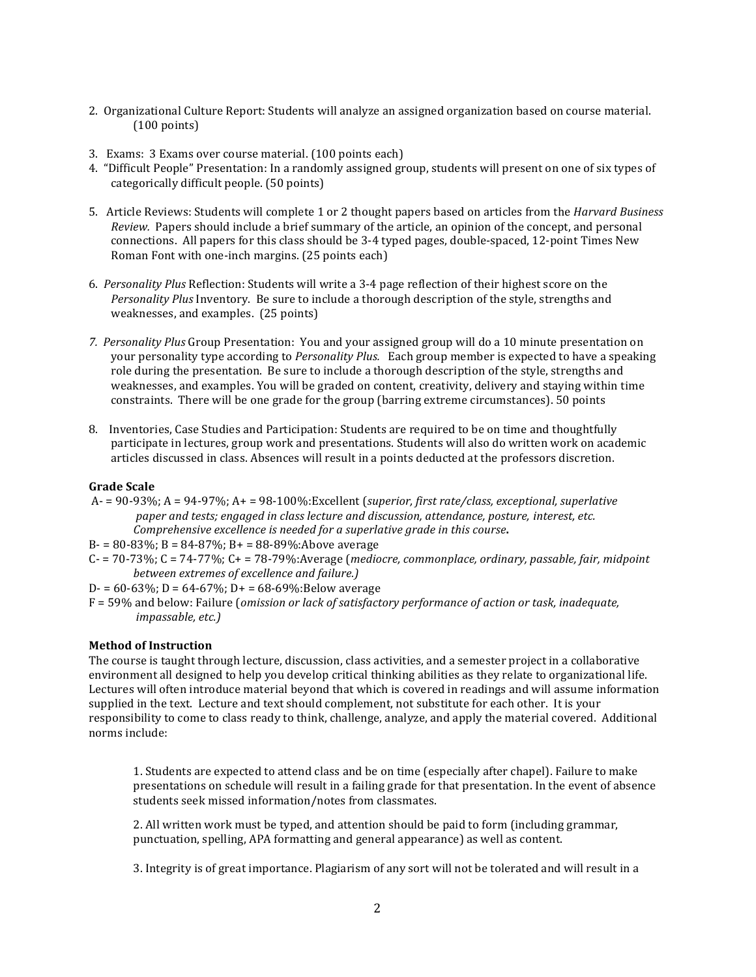- 2. Organizational Culture Report: Students will analyze an assigned organization based on course material.  $(100 \text{ points})$
- 3. Exams: 3 Exams over course material. (100 points each)
- 4. "Difficult People" Presentation: In a randomly assigned group, students will present on one of six types of categorically difficult people. (50 points)
- 5. Article Reviews: Students will complete 1 or 2 thought papers based on articles from the *Harvard Business Review.* Papers should include a brief summary of the article, an opinion of the concept, and personal connections. All papers for this class should be 3-4 typed pages, double-spaced, 12-point Times New Roman Font with one-inch margins. (25 points each)
- 6. Personality Plus Reflection: Students will write a 3-4 page reflection of their highest score on the Personality Plus Inventory. Be sure to include a thorough description of the style, strengths and weaknesses, and examples. (25 points)
- 7. Personality Plus Group Presentation: You and your assigned group will do a 10 minute presentation on your personality type according to *Personality Plus.* Each group member is expected to have a speaking role during the presentation. Be sure to include a thorough description of the style, strengths and weaknesses, and examples. You will be graded on content, creativity, delivery and staying within time constraints. There will be one grade for the group (barring extreme circumstances). 50 points
- 8. Inventories, Case Studies and Participation: Students are required to be on time and thoughtfully participate in lectures, group work and presentations. Students will also do written work on academic articles discussed in class. Absences will result in a points deducted at the professors discretion.

## **Grade Scale**

- A- = 90-93%; A = 94-97%; A + = 98-100%:Excellent (superior, first rate/class, exceptional, superlative paper and tests; engaged in class lecture and discussion, attendance, posture, interest, etc. *Comprehensive excellence is needed for a superlative grade in this course.*
- $B = 80 83\%$ ;  $B = 84 87\%$ ;  $B = 88 89\%$ :Above average
- $C 70-73\%$ ;  $C = 74-77\%$ ;  $C + 78-79\%$ :Average (*mediocre, commonplace, ordinary, passable, fair, midpoint between extremes of excellence and failure.)*
- D- =  $60-63\%$ ; D =  $64-67\%$ ; D+ =  $68-69\%$ :Below average
- F = 59% and below: Failure (*omission or lack of satisfactory performance of action or task, inadequate, impassable, etc.)*

## **Method of Instruction**

The course is taught through lecture, discussion, class activities, and a semester project in a collaborative environment all designed to help you develop critical thinking abilities as they relate to organizational life. Lectures will often introduce material beyond that which is covered in readings and will assume information supplied in the text. Lecture and text should complement, not substitute for each other. It is your responsibility to come to class ready to think, challenge, analyze, and apply the material covered. Additional norms include:

1. Students are expected to attend class and be on time (especially after chapel). Failure to make presentations on schedule will result in a failing grade for that presentation. In the event of absence students seek missed information/notes from classmates.

2. All written work must be typed, and attention should be paid to form (including grammar, punctuation, spelling, APA formatting and general appearance) as well as content.

3. Integrity is of great importance. Plagiarism of any sort will not be tolerated and will result in a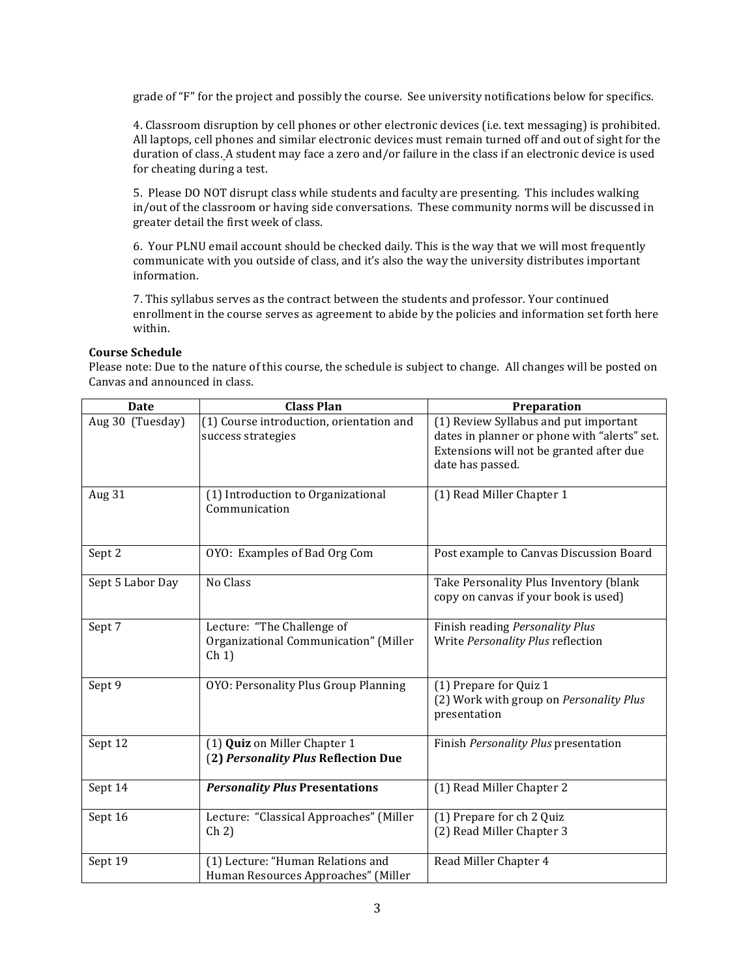grade of "F" for the project and possibly the course. See university notifications below for specifics.

4. Classroom disruption by cell phones or other electronic devices (i.e. text messaging) is prohibited. All laptops, cell phones and similar electronic devices must remain turned off and out of sight for the duration of class. A student may face a zero and/or failure in the class if an electronic device is used for cheating during a test.

5. Please DO NOT disrupt class while students and faculty are presenting. This includes walking in/out of the classroom or having side conversations. These community norms will be discussed in greater detail the first week of class.

6. Your PLNU email account should be checked daily. This is the way that we will most frequently communicate with you outside of class, and it's also the way the university distributes important information.

7. This syllabus serves as the contract between the students and professor. Your continued enrollment in the course serves as agreement to abide by the policies and information set forth here within.

## **Course Schedule**

Please note: Due to the nature of this course, the schedule is subject to change. All changes will be posted on Canvas and announced in class.

| <b>Date</b>      | <b>Class Plan</b>                                                                            | Preparation                                                                                                                                           |
|------------------|----------------------------------------------------------------------------------------------|-------------------------------------------------------------------------------------------------------------------------------------------------------|
| Aug 30 (Tuesday) | (1) Course introduction, orientation and<br>success strategies                               | (1) Review Syllabus and put important<br>dates in planner or phone with "alerts" set.<br>Extensions will not be granted after due<br>date has passed. |
| Aug 31           | (1) Introduction to Organizational<br>Communication                                          | (1) Read Miller Chapter 1                                                                                                                             |
| Sept 2           | OYO: Examples of Bad Org Com                                                                 | Post example to Canvas Discussion Board                                                                                                               |
| Sept 5 Labor Day | No Class                                                                                     | Take Personality Plus Inventory (blank<br>copy on canvas if your book is used)                                                                        |
| Sept 7           | Lecture: "The Challenge of<br>Organizational Communication" (Miller<br>$\operatorname{Ch} 1$ | Finish reading Personality Plus<br>Write Personality Plus reflection                                                                                  |
| Sept 9           | OYO: Personality Plus Group Planning                                                         | (1) Prepare for Quiz 1<br>(2) Work with group on Personality Plus<br>presentation                                                                     |
| Sept 12          | (1) Quiz on Miller Chapter 1<br>(2) Personality Plus Reflection Due                          | Finish Personality Plus presentation                                                                                                                  |
| Sept 14          | <b>Personality Plus Presentations</b>                                                        | (1) Read Miller Chapter 2                                                                                                                             |
| Sept 16          | Lecture: "Classical Approaches" (Miller<br>$\operatorname{Ch} 2$                             | (1) Prepare for ch 2 Quiz<br>(2) Read Miller Chapter 3                                                                                                |
| Sept 19          | (1) Lecture: "Human Relations and<br>Human Resources Approaches" (Miller                     | Read Miller Chapter 4                                                                                                                                 |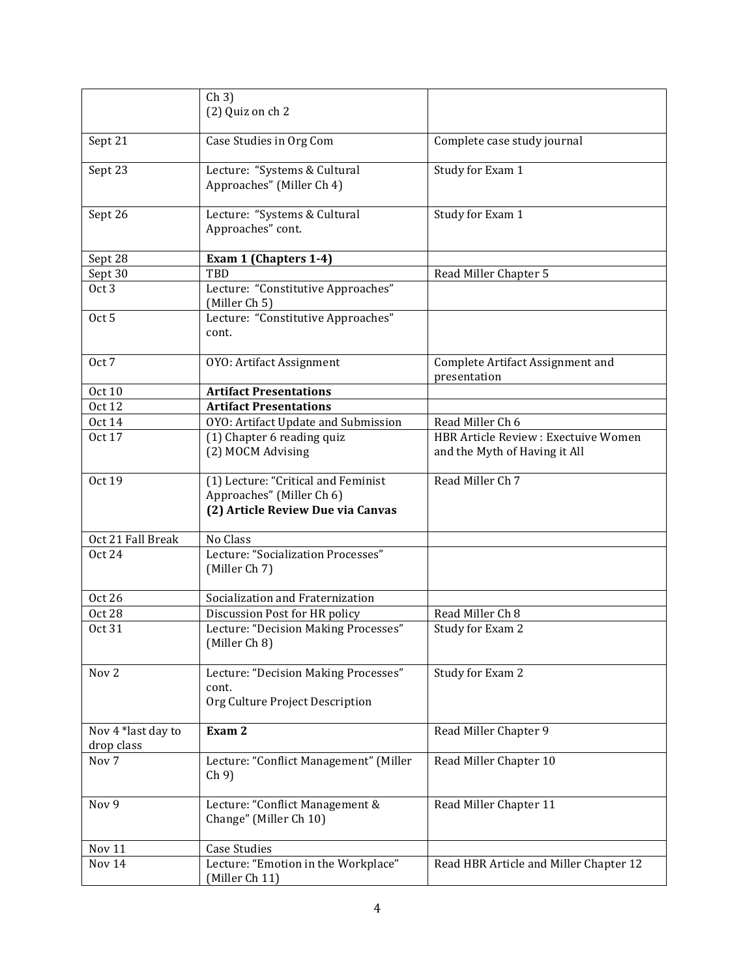|                         | $\operatorname{Ch} 3$<br>(2) Quiz on ch 2                       |                                        |
|-------------------------|-----------------------------------------------------------------|----------------------------------------|
|                         |                                                                 |                                        |
| Sept 21                 | Case Studies in Org Com                                         | Complete case study journal            |
| Sept 23                 | Lecture: "Systems & Cultural                                    | Study for Exam 1                       |
|                         | Approaches" (Miller Ch 4)                                       |                                        |
| Sept 26                 | Lecture: "Systems & Cultural                                    | Study for Exam 1                       |
|                         | Approaches" cont.                                               |                                        |
| Sept 28                 | Exam 1 (Chapters 1-4)                                           |                                        |
| Sept 30                 | TBD                                                             | Read Miller Chapter 5                  |
| Oct <sub>3</sub>        | Lecture: "Constitutive Approaches"<br>(Miller Ch 5)             |                                        |
| Oct 5                   | Lecture: "Constitutive Approaches"                              |                                        |
|                         | cont.                                                           |                                        |
| Oct 7                   | OYO: Artifact Assignment                                        | Complete Artifact Assignment and       |
|                         | <b>Artifact Presentations</b>                                   | presentation                           |
| Oct 10<br><b>Oct 12</b> | <b>Artifact Presentations</b>                                   |                                        |
| <b>Oct 14</b>           | OYO: Artifact Update and Submission                             | Read Miller Ch 6                       |
| Oct 17                  | (1) Chapter 6 reading quiz                                      | HBR Article Review : Exectuive Women   |
|                         | (2) MOCM Advising                                               | and the Myth of Having it All          |
| Oct 19                  | (1) Lecture: "Critical and Feminist                             | Read Miller Ch 7                       |
|                         | Approaches" (Miller Ch 6)<br>(2) Article Review Due via Canvas  |                                        |
| Oct 21 Fall Break       | No Class                                                        |                                        |
| <b>Oct 24</b>           | Lecture: "Socialization Processes"                              |                                        |
|                         | (Miller Ch 7)                                                   |                                        |
| <b>Oct 26</b>           | Socialization and Fraternization                                |                                        |
| <b>Oct 28</b>           | Discussion Post for HR policy                                   | Read Miller Ch 8                       |
| Oct 31                  | Lecture: "Decision Making Processes"<br>(Miller Ch 8)           | Study for Exam 2                       |
| Nov 2                   | Lecture: "Decision Making Processes"                            | Study for Exam 2                       |
|                         | cont.                                                           |                                        |
|                         | Org Culture Project Description                                 |                                        |
| Nov 4 *last day to      | Exam 2                                                          | Read Miller Chapter 9                  |
| drop class              |                                                                 |                                        |
| Nov 7                   | Lecture: "Conflict Management" (Miller<br>$\operatorname{Ch} 9$ | Read Miller Chapter 10                 |
| Nov 9                   | Lecture: "Conflict Management &<br>Change" (Miller Ch 10)       | Read Miller Chapter 11                 |
| Nov 11                  | <b>Case Studies</b>                                             |                                        |
| Nov 14                  | Lecture: "Emotion in the Workplace"                             | Read HBR Article and Miller Chapter 12 |
|                         | (Miller Ch 11)                                                  |                                        |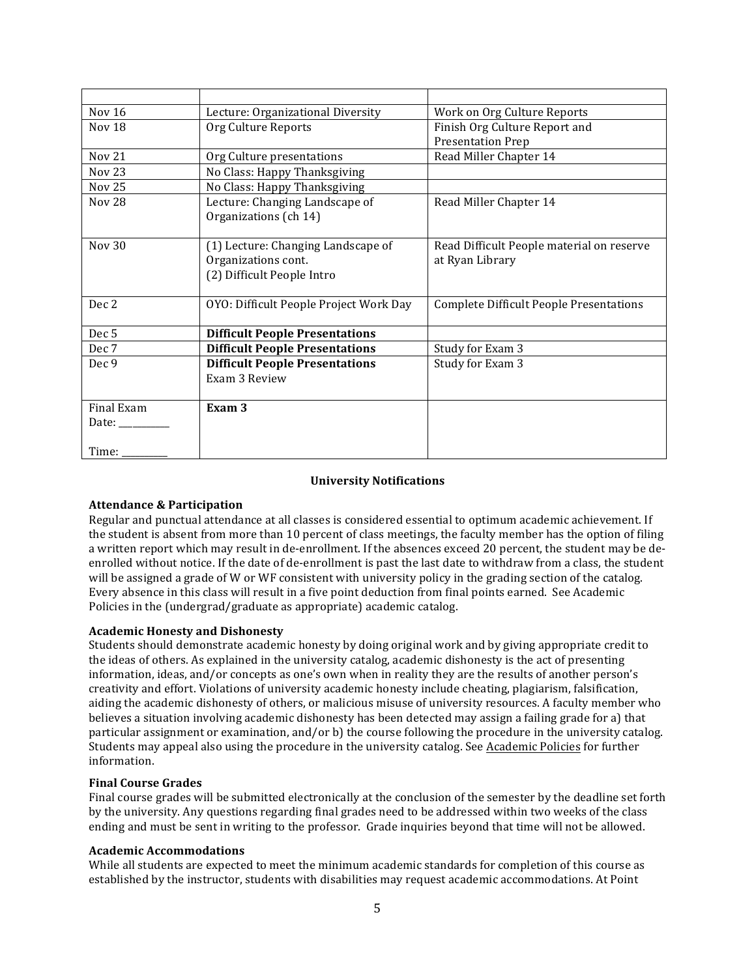| <b>Nov 16</b>                                                             | Lecture: Organizational Diversity      | Work on Org Culture Reports                    |
|---------------------------------------------------------------------------|----------------------------------------|------------------------------------------------|
| Nov 18                                                                    | Org Culture Reports                    | Finish Org Culture Report and                  |
|                                                                           |                                        | <b>Presentation Prep</b>                       |
| <b>Nov 21</b>                                                             | Org Culture presentations              | Read Miller Chapter 14                         |
| <b>Nov 23</b>                                                             | No Class: Happy Thanksgiving           |                                                |
| Nov 25                                                                    | No Class: Happy Thanksgiving           |                                                |
| <b>Nov 28</b>                                                             | Lecture: Changing Landscape of         | Read Miller Chapter 14                         |
|                                                                           | Organizations (ch 14)                  |                                                |
|                                                                           |                                        |                                                |
| <b>Nov 30</b>                                                             | (1) Lecture: Changing Landscape of     | Read Difficult People material on reserve      |
|                                                                           | Organizations cont.                    | at Ryan Library                                |
|                                                                           | (2) Difficult People Intro             |                                                |
|                                                                           |                                        |                                                |
| Dec 2                                                                     | OYO: Difficult People Project Work Day | <b>Complete Difficult People Presentations</b> |
|                                                                           |                                        |                                                |
| Dec <sub>5</sub>                                                          | <b>Difficult People Presentations</b>  |                                                |
| Dec 7                                                                     | <b>Difficult People Presentations</b>  | Study for Exam 3                               |
| Dec 9                                                                     | <b>Difficult People Presentations</b>  | Study for Exam 3                               |
|                                                                           | Exam 3 Review                          |                                                |
|                                                                           |                                        |                                                |
| Final Exam                                                                | Exam <sub>3</sub>                      |                                                |
| Date: $\frac{1}{\sqrt{1-\frac{1}{2}}\cdot\frac{1}{\sqrt{1-\frac{1}{2}}}}$ |                                        |                                                |
|                                                                           |                                        |                                                |
| Time: $\__$                                                               |                                        |                                                |

## **University Notifications**

## **Attendance & Participation**

Regular and punctual attendance at all classes is considered essential to optimum academic achievement. If the student is absent from more than 10 percent of class meetings, the faculty member has the option of filing a written report which may result in de-enrollment. If the absences exceed 20 percent, the student may be deenrolled without notice. If the date of de-enrollment is past the last date to withdraw from a class, the student will be assigned a grade of W or WF consistent with university policy in the grading section of the catalog. Every absence in this class will result in a five point deduction from final points earned. See Academic Policies in the (undergrad/graduate as appropriate) academic catalog.

## **Academic Honesty and Dishonesty**

Students should demonstrate academic honesty by doing original work and by giving appropriate credit to the ideas of others. As explained in the university catalog, academic dishonesty is the act of presenting information, ideas, and/or concepts as one's own when in reality they are the results of another person's creativity and effort. Violations of university academic honesty include cheating, plagiarism, falsification, aiding the academic dishonesty of others, or malicious misuse of university resources. A faculty member who believes a situation involving academic dishonesty has been detected may assign a failing grade for a) that particular assignment or examination, and/or b) the course following the procedure in the university catalog. Students may appeal also using the procedure in the university catalog. See Academic Policies for further information.

## **Final Course Grades**

Final course grades will be submitted electronically at the conclusion of the semester by the deadline set forth by the university. Any questions regarding final grades need to be addressed within two weeks of the class ending and must be sent in writing to the professor. Grade inquiries beyond that time will not be allowed.

## **Academic Accommodations**

While all students are expected to meet the minimum academic standards for completion of this course as established by the instructor, students with disabilities may request academic accommodations. At Point